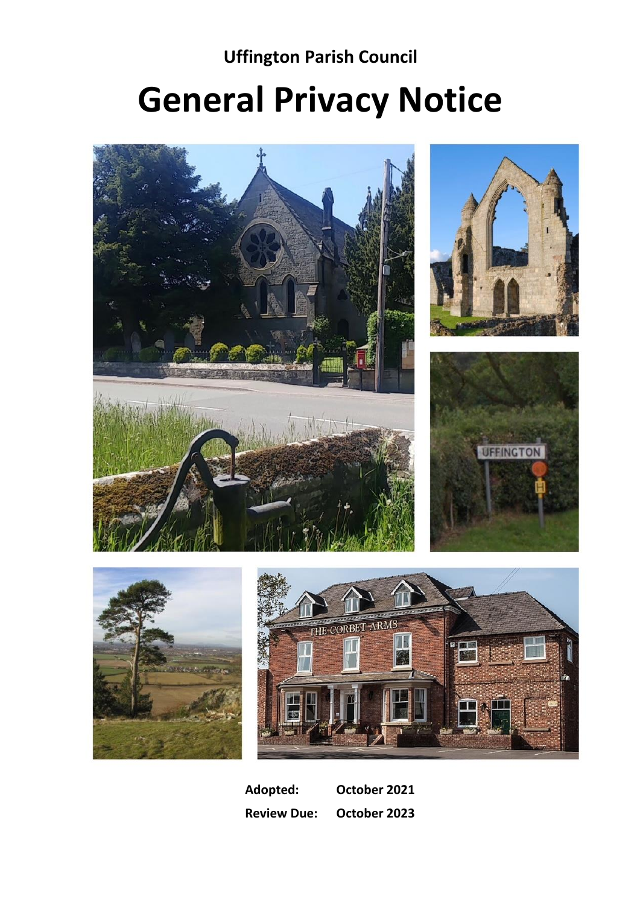**Uffington Parish Council**

# **General Privacy Notice**



**Adopted: October 2021 Review Due: October 2023**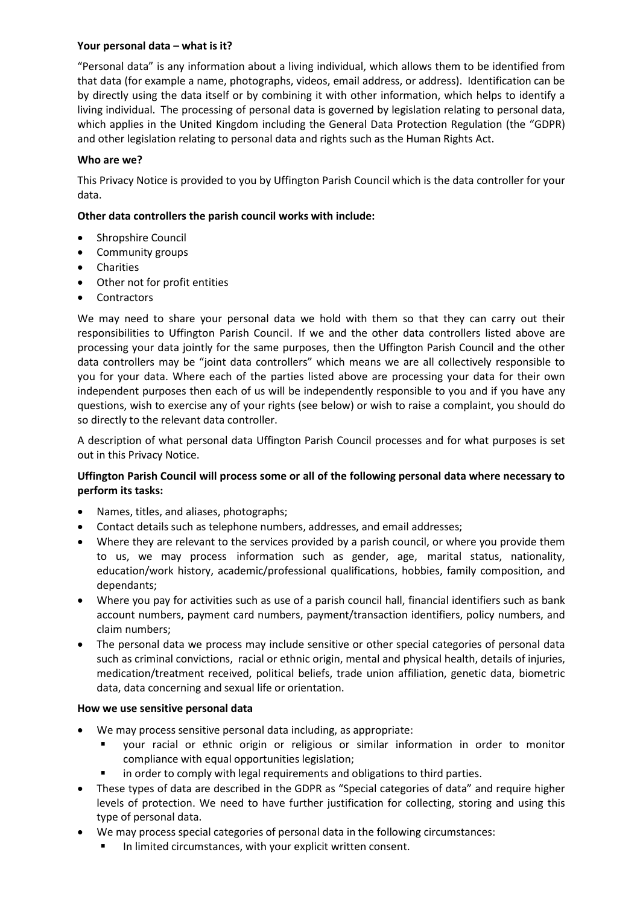# **Your personal data – what is it?**

"Personal data" is any information about a living individual, which allows them to be identified from that data (for example a name, photographs, videos, email address, or address). Identification can be by directly using the data itself or by combining it with other information, which helps to identify a living individual. The processing of personal data is governed by legislation relating to personal data, which applies in the United Kingdom including the General Data Protection Regulation (the "GDPR) and other legislation relating to personal data and rights such as the Human Rights Act.

# **Who are we?**

This Privacy Notice is provided to you by Uffington Parish Council which is the data controller for your data.

## **Other data controllers the parish council works with include:**

- Shropshire Council
- Community groups
- Charities
- Other not for profit entities
- Contractors

We may need to share your personal data we hold with them so that they can carry out their responsibilities to Uffington Parish Council. If we and the other data controllers listed above are processing your data jointly for the same purposes, then the Uffington Parish Council and the other data controllers may be "joint data controllers" which means we are all collectively responsible to you for your data. Where each of the parties listed above are processing your data for their own independent purposes then each of us will be independently responsible to you and if you have any questions, wish to exercise any of your rights (see below) or wish to raise a complaint, you should do so directly to the relevant data controller.

A description of what personal data Uffington Parish Council processes and for what purposes is set out in this Privacy Notice.

## **Uffington Parish Council will process some or all of the following personal data where necessary to perform its tasks:**

- Names, titles, and aliases, photographs;
- Contact details such as telephone numbers, addresses, and email addresses;
- Where they are relevant to the services provided by a parish council, or where you provide them to us, we may process information such as gender, age, marital status, nationality, education/work history, academic/professional qualifications, hobbies, family composition, and dependants;
- Where you pay for activities such as use of a parish council hall, financial identifiers such as bank account numbers, payment card numbers, payment/transaction identifiers, policy numbers, and claim numbers;
- The personal data we process may include sensitive or other special categories of personal data such as criminal convictions, racial or ethnic origin, mental and physical health, details of injuries, medication/treatment received, political beliefs, trade union affiliation, genetic data, biometric data, data concerning and sexual life or orientation.

## **How we use sensitive personal data**

- We may process sensitive personal data including, as appropriate:
	- your racial or ethnic origin or religious or similar information in order to monitor compliance with equal opportunities legislation;
	- in order to comply with legal requirements and obligations to third parties.
- These types of data are described in the GDPR as "Special categories of data" and require higher levels of protection. We need to have further justification for collecting, storing and using this type of personal data.
- We may process special categories of personal data in the following circumstances:
	- In limited circumstances, with your explicit written consent.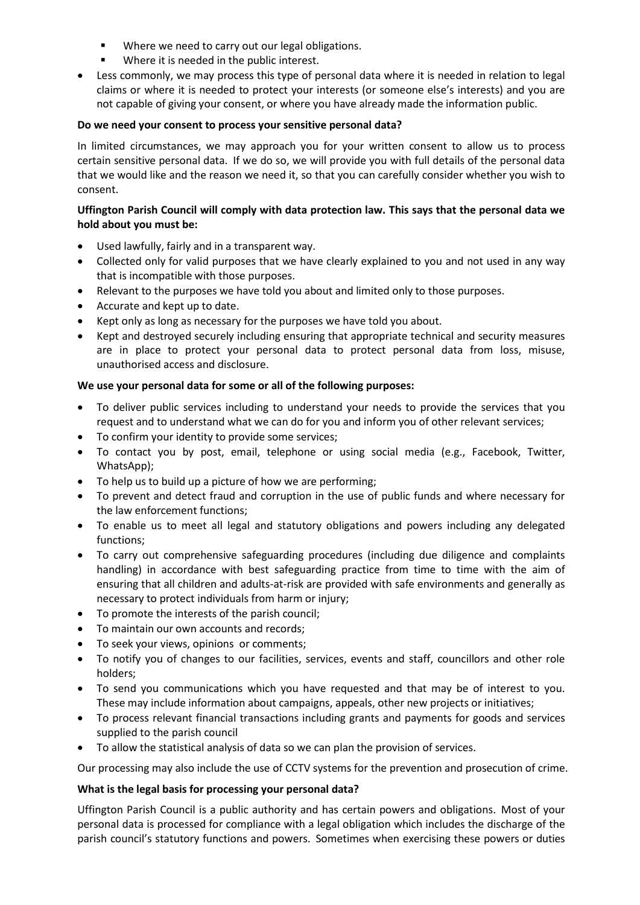- Where we need to carry out our legal obligations.
- Where it is needed in the public interest.
- Less commonly, we may process this type of personal data where it is needed in relation to legal claims or where it is needed to protect your interests (or someone else's interests) and you are not capable of giving your consent, or where you have already made the information public.

## **Do we need your consent to process your sensitive personal data?**

In limited circumstances, we may approach you for your written consent to allow us to process certain sensitive personal data. If we do so, we will provide you with full details of the personal data that we would like and the reason we need it, so that you can carefully consider whether you wish to consent.

# **Uffington Parish Council will comply with data protection law. This says that the personal data we hold about you must be:**

- Used lawfully, fairly and in a transparent way.
- Collected only for valid purposes that we have clearly explained to you and not used in any way that is incompatible with those purposes.
- Relevant to the purposes we have told you about and limited only to those purposes.
- Accurate and kept up to date.
- Kept only as long as necessary for the purposes we have told you about.
- Kept and destroyed securely including ensuring that appropriate technical and security measures are in place to protect your personal data to protect personal data from loss, misuse, unauthorised access and disclosure.

# **We use your personal data for some or all of the following purposes:**

- To deliver public services including to understand your needs to provide the services that you request and to understand what we can do for you and inform you of other relevant services;
- To confirm your identity to provide some services;
- To contact you by post, email, telephone or using social media (e.g., Facebook, Twitter, WhatsApp);
- To help us to build up a picture of how we are performing;
- To prevent and detect fraud and corruption in the use of public funds and where necessary for the law enforcement functions;
- To enable us to meet all legal and statutory obligations and powers including any delegated functions;
- To carry out comprehensive safeguarding procedures (including due diligence and complaints handling) in accordance with best safeguarding practice from time to time with the aim of ensuring that all children and adults-at-risk are provided with safe environments and generally as necessary to protect individuals from harm or injury;
- To promote the interests of the parish council;
- To maintain our own accounts and records;
- To seek your views, opinions or comments;
- To notify you of changes to our facilities, services, events and staff, councillors and other role holders;
- To send you communications which you have requested and that may be of interest to you. These may include information about campaigns, appeals, other new projects or initiatives;
- To process relevant financial transactions including grants and payments for goods and services supplied to the parish council
- To allow the statistical analysis of data so we can plan the provision of services.

Our processing may also include the use of CCTV systems for the prevention and prosecution of crime.

# **What is the legal basis for processing your personal data?**

Uffington Parish Council is a public authority and has certain powers and obligations. Most of your personal data is processed for compliance with a legal obligation which includes the discharge of the parish council's statutory functions and powers. Sometimes when exercising these powers or duties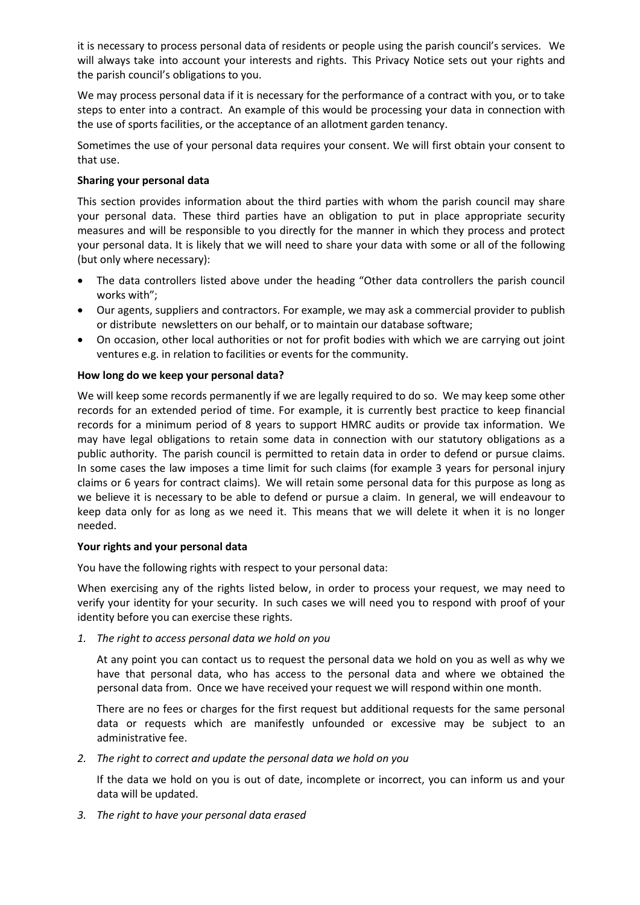it is necessary to process personal data of residents or people using the parish council's services. We will always take into account your interests and rights. This Privacy Notice sets out your rights and the parish council's obligations to you.

We may process personal data if it is necessary for the performance of a contract with you, or to take steps to enter into a contract. An example of this would be processing your data in connection with the use of sports facilities, or the acceptance of an allotment garden tenancy.

Sometimes the use of your personal data requires your consent. We will first obtain your consent to that use.

## **Sharing your personal data**

This section provides information about the third parties with whom the parish council may share your personal data. These third parties have an obligation to put in place appropriate security measures and will be responsible to you directly for the manner in which they process and protect your personal data. It is likely that we will need to share your data with some or all of the following (but only where necessary):

- The data controllers listed above under the heading "Other data controllers the parish council works with";
- Our agents, suppliers and contractors. For example, we may ask a commercial provider to publish or distribute newsletters on our behalf, or to maintain our database software;
- On occasion, other local authorities or not for profit bodies with which we are carrying out joint ventures e.g. in relation to facilities or events for the community.

## **How long do we keep your personal data?**

We will keep some records permanently if we are legally required to do so. We may keep some other records for an extended period of time. For example, it is currently best practice to keep financial records for a minimum period of 8 years to support HMRC audits or provide tax information. We may have legal obligations to retain some data in connection with our statutory obligations as a public authority. The parish council is permitted to retain data in order to defend or pursue claims. In some cases the law imposes a time limit for such claims (for example 3 years for personal injury claims or 6 years for contract claims). We will retain some personal data for this purpose as long as we believe it is necessary to be able to defend or pursue a claim. In general, we will endeavour to keep data only for as long as we need it. This means that we will delete it when it is no longer needed.

## **Your rights and your personal data**

You have the following rights with respect to your personal data:

When exercising any of the rights listed below, in order to process your request, we may need to verify your identity for your security. In such cases we will need you to respond with proof of your identity before you can exercise these rights.

*1. The right to access personal data we hold on you*

At any point you can contact us to request the personal data we hold on you as well as why we have that personal data, who has access to the personal data and where we obtained the personal data from. Once we have received your request we will respond within one month.

There are no fees or charges for the first request but additional requests for the same personal data or requests which are manifestly unfounded or excessive may be subject to an administrative fee.

*2. The right to correct and update the personal data we hold on you*

If the data we hold on you is out of date, incomplete or incorrect, you can inform us and your data will be updated.

*3. The right to have your personal data erased*